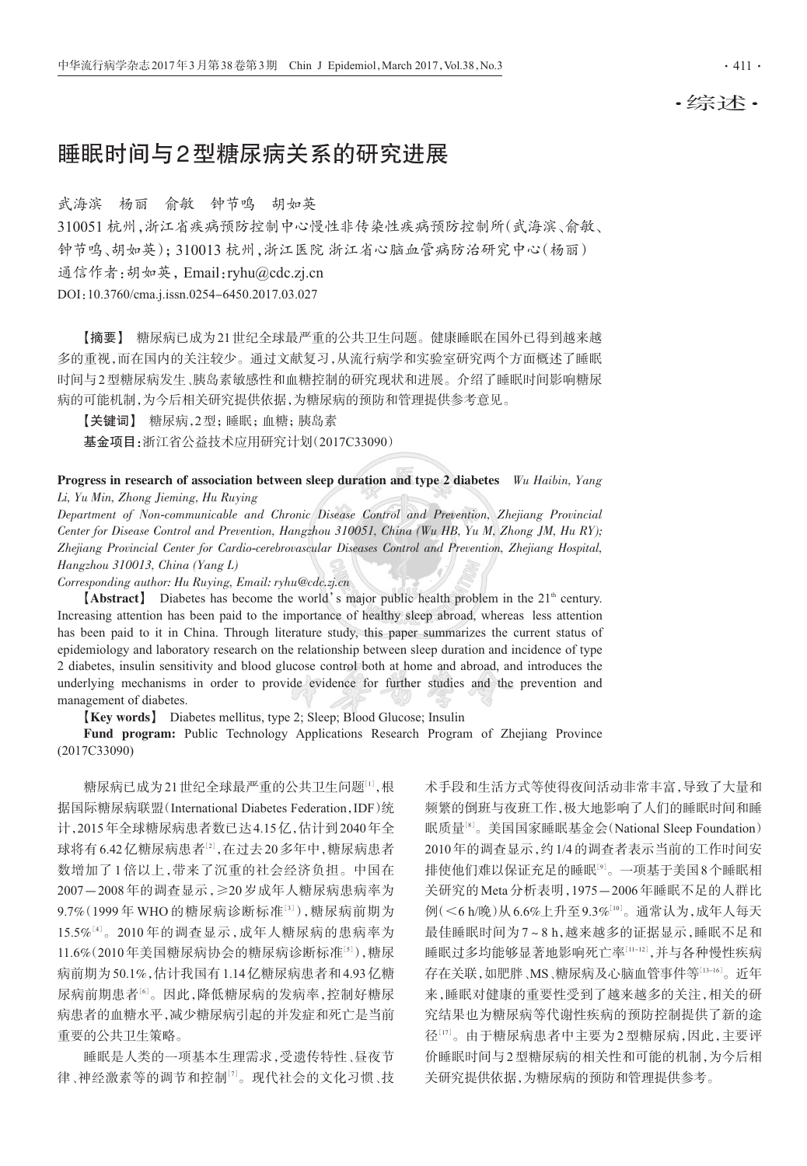## •综述•

# 睡眠时间与2型糖尿病关系的研究进展

武海滨 杨丽 俞敏 钟节鸣 胡如英

310051 杭州,浙江省疾病预防控制中心慢性非传染性疾病预防控制所(武海滨、俞敏、 钟节鸣、胡如英);310013杭州,浙江医院浙江省心脑血管病防治研究中心(杨丽) 通信作者:胡如英, Email:ryhu@cdc.zj.cn DOI: 10.3760/cma.j.issn.0254-6450.2017.03.027

【摘要】 糖尿病已成为21世纪全球最严重的公共卫生问题。健康睡眠在国外已得到越来越 多的重视,而在国内的关注较少。通过文献复习,从流行病学和实验室研究两个方面概述了睡眠 时间与2型糖尿病发生、胰岛素敏感性和血糖控制的研究现状和进展。介绍了睡眠时间影响糖尿 病的可能机制,为今后相关研究提供依据,为糖尿病的预防和管理提供参考意见。

【关键词】 糖尿病, 2型; 睡眠; 血糖; 胰岛素

基金项目:浙江省公益技术应用研究计划(2017C33090)

Progress in research of association between sleep duration and type 2 diabetes  $Wu$  Haibin, Yang Li, Yu Min, Zhong Jieming, Hu Ruying

Department of Non-communicable and Chronic Disease Control and Prevention, Zhejiang Provincial Center for Disease Control and Prevention, Hangzhou 310051, China (Wu HB, Yu M, Zhong JM, Hu RY); Zhejiang Provincial Center for Cardio-cerebrovascular Diseases Control and Prevention, Zhejiang Hospital, Hangzhou 310013, China (Yang L)

Corresponding author: Hu Ruying, Email: ryhu@cdc.zj.cn

[Abstract] Diabetes has become the world's major public health problem in the 21<sup>th</sup> century. Increasing attention has been paid to the importance of healthy sleep abroad, whereas less attention has been paid to it in China. Through literature study, this paper summarizes the current status of epidemiology and laboratory research on the relationship between sleep duration and incidence of type 2 diabetes, insulin sensitivity and blood glucose control both at home and abroad, and introduces the underlying mechanisms in order to provide evidence for further studies and the prevention and management of diabetes.

**[Key words]** Diabetes mellitus, type 2; Sleep; Blood Glucose; Insulin

Fund program: Public Technology Applications Research Program of Zhejiang Province  $(2017C33090)$ 

糖尿病已成为21世纪全球最严重的公共卫生问题[1],根 据国际糖尿病联盟(International Diabetes Federation, IDF)统 计,2015年全球糖尿病患者数已达4.15亿,估计到2040年全 球将有6.42亿糖尿病患者[2],在过去20多年中,糖尿病患者 数增加了1倍以上,带来了沉重的社会经济负担。中国在 2007-2008年的调查显示,≥20岁成年人糖尿病患病率为 9.7% (1999年 WHO 的糖尿病诊断标准[3]),糖尿病前期为 15.5%[4]。2010年的调查显示,成年人糖尿病的患病率为 11.6%(2010年美国糖尿病协会的糖尿病诊断标准[5]),糖尿 病前期为50.1%,估计我国有1.14亿糖尿病患者和4.93亿糖 尿病前期患者[6]。因此,降低糖尿病的发病率,控制好糖尿 病患者的血糖水平,减少糖尿病引起的并发症和死亡是当前 重要的公共卫生策略。

睡眠是人类的一项基本生理需求,受遗传特性、昼夜节 律、神经激素等的调节和控制[7]。现代社会的文化习惯、技 术手段和生活方式等使得夜间活动非常丰富,导致了大量和 频繁的倒班与夜班工作,极大地影响了人们的睡眠时间和睡 眠质量<sup>[8]</sup>。美国国家睡眠基金会(National Sleep Foundation) 2010年的调查显示,约1/4的调查者表示当前的工作时间安 排使他们难以保证充足的睡眠<sup>[9]</sup>。一项基于美国8个睡眠相 关研究的 Meta 分析表明, 1975-2006年睡眠不足的人群比 例(<6 h/晚)从6.6%上升至9.3%[10]。通常认为,成年人每天 最佳睡眠时间为7~8h,越来越多的证据显示,睡眠不足和 睡眠过多均能够显著地影响死亡率[11-12],并与各种慢性疾病 存在关联,如肥胖、MS、糖尿病及心脑血管事件等[13-16]。近年 来,睡眠对健康的重要性受到了越来越多的关注,相关的研 究结果也为糖尿病等代谢性疾病的预防控制提供了新的途 径[17]。由于糖尿病患者中主要为2型糖尿病,因此,主要评 价睡眠时间与2型糖尿病的相关性和可能的机制,为今后相 关研究提供依据,为糖尿病的预防和管理提供参考。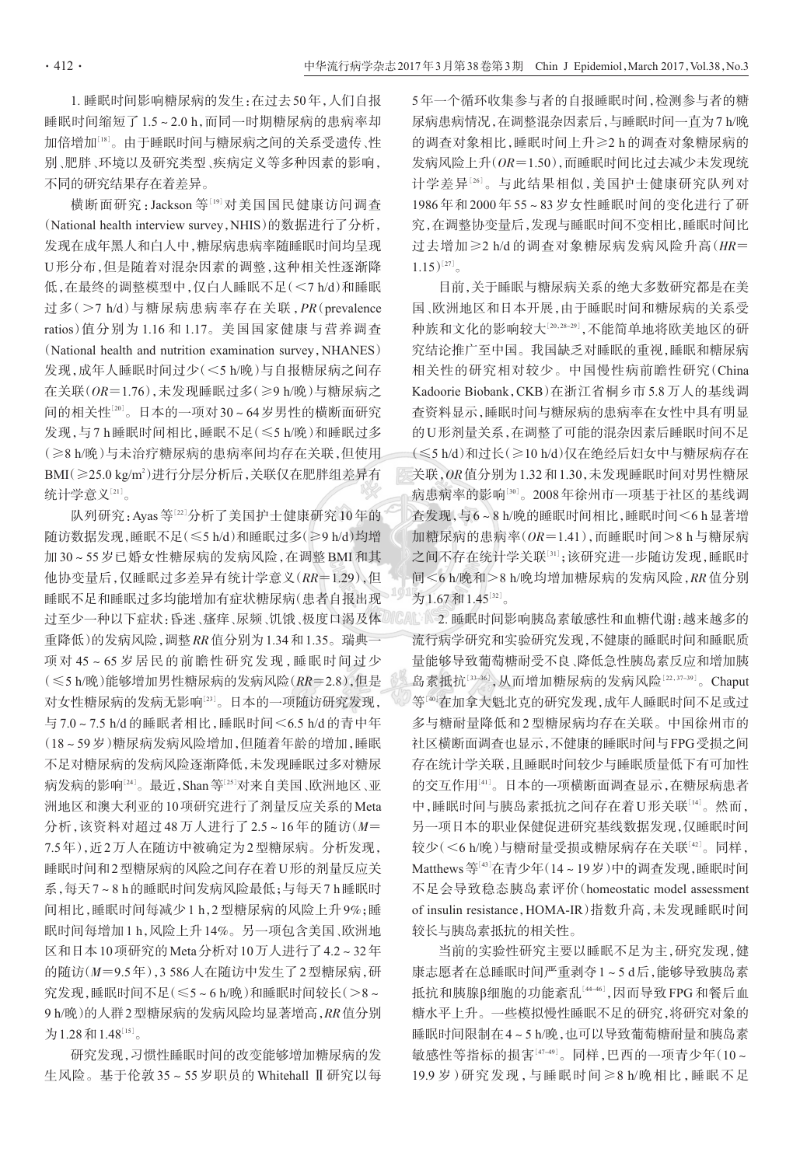1. 睡眠时间影响糖尿病的发生: 在讨夫 50年, 人们自报 睡眠时间缩短了1.5~2.0 h, 而同一时期糖尿病的患病率却 加倍增加[18]。由于睡眠时间与糖尿病之间的关系受遗传、性 别、肥胖、环境以及研究类型、疾病定义等多种因素的影响, 不同的研究结果存在着差异。

横断面研究: Jackson 等[19]对美国国民健康访问调查 (National health interview survey, NHIS)的数据进行了分析, 发现在成年黑人和白人中,糖尿病患病率随睡眠时间均呈现 U形分布,但是随着对混杂因素的调整,这种相关性逐渐降 低,在最终的调整模型中,仅白人睡眠不足(<7 h/d)和睡眠 过多(>7 h/d)与糖尿病患病率存在关联, PR(prevalence ratios)值分别为1.16和1.17。美国国家健康与营养调查 (National health and nutrition examination survey, NHANES) 发现,成年人睡眠时间过少(<5 h/晚)与自报糖尿病之间存 在关联(OR=1.76),未发现睡眠过多(≥9 h/晚)与糖尿病之 间的相关性[20]。日本的一项对30~64岁男性的横断面研究 发现,与7h睡眠时间相比,睡眠不足(≤5h/晚)和睡眠过多 (≥8 h/晚)与未治疗糖尿病的患病率间均存在关联,但使用 BMI(≥25.0 kg/m<sup>2</sup>)进行分层分析后,关联仅在肥胖组差异有 统计学意义[21]。

队列研究: Ayas 等[22]分析了美国护士健康研究10年的 随访数据发现,睡眠不足(≤5 h/d)和睡眠过多(≥9 h/d)均增 加30~55岁已婚女性糖尿病的发病风险,在调整 BMI 和其 他协变量后,仅睡眠过多差异有统计学意义(RR=1.29),但 睡眠不足和睡眠过多均能增加有症状糖尿病(患者自报出现 过至少一种以下症状:昏迷、瘙痒、尿频、饥饿、极度口渴及体 重降低)的发病风险,调整RR值分别为1.34和1.35。瑞典一 项对45~65岁居民的前瞻性研究发现,睡眠时间过少 (≤5 h/晚)能够增加男性糖尿病的发病风险(RR=2.8),但是 对女性糖尿病的发病无影响[23]。日本的一项随访研究发现, 与7.0~7.5 h/d的睡眠者相比,睡眠时间<6.5 h/d的青中年 (18~59岁)糖尿病发病风险增加,但随着年龄的增加,睡眠 不足对糖尿病的发病风险逐渐降低,未发现睡眠过多对糖尿 病发病的影响[24]。最近, Shan 等[25]对来自美国、欧洲地区、亚 洲地区和澳大利亚的10项研究进行了剂量反应关系的Meta 分析,该资料对超过48万人进行了2.5~16年的随访(M= 7.5年),近2万人在随访中被确定为2型糖尿病。分析发现, 睡眠时间和2型糖尿病的风险之间存在着U形的剂量反应关 系,每天7~8h的睡眠时间发病风险最低;与每天7h睡眠时 间相比,睡眠时间每减少1 h, 2 型糖尿病的风险上升 9%;睡 眠时间每增加1h,风险上升14%。另一项包含美国、欧洲地 区和日本10项研究的Meta分析对10万人进行了4.2~32年 的随访(M=9.5年), 3 586人在随访中发生了2型糖尿病, 研 究发现,睡眠时间不足(≤5~6h/晚)和睡眠时间较长(>8~ 9 h/晚)的人群2型糖尿病的发病风险均显著增高, RR 值分别 为1.28和1.48[15]。

研究发现,习惯性睡眠时间的改变能够增加糖尿病的发 生风险。基于伦敦35~55岁职员的 Whitehall Ⅱ研究以每 5年一个循环收集参与者的自报睡眠时间, 检测参与者的糖 尿病患病情况,在调整混杂因素后,与睡眠时间一直为7 h/晚 的调查对象相比,睡眠时间上升≥2h的调查对象糖尿病的 发病风险上升(OR=1.50),而睡眠时间比过去减少未发现统 计学差异[26]。与此结果相似,美国护士健康研究队列对 1986年和2000年55~83岁女性睡眠时间的变化进行了研 究,在调整协变量后,发现与睡眠时间不变相比,睡眠时间比 过去增加≥2 h/d的调查对象糖尿病发病风险升高(HR=  $1.15)^{[27]}$ 

目前,关于睡眠与糖尿病关系的绝大多数研究都是在美 国、欧洲地区和日本开展,由于睡眠时间和糖尿病的关系受 种族和文化的影响较大[20,28-29],不能简单地将欧美地区的研 究结论推广至中国。我国缺乏对睡眠的重视,睡眠和糖尿病 相关性的研究相对较少。中国慢性病前瞻性研究(China Kadoorie Biobank, CKB)在浙江省桐乡市5.8万人的基线调 查资料显示,睡眠时间与糖尿病的患病率在女性中具有明显 的U形剂量关系,在调整了可能的混杂因素后睡眠时间不足 (≤5 h/d)和过长(≥10 h/d)仅在绝经后妇女中与糖尿病存在 关联, OR 值分别为1.32 和1.30, 未发现睡眠时间对男性糖尿 病患病率的影响[30]。2008年徐州市一项基于社区的基线调 查发现,与6~8h/晚的睡眠时间相比,睡眠时间<6h显著增 加糖尿病的患病率(OR=1.41),而睡眠时间>8 h与糖尿病 之间不存在统计学关联[31];该研究进一步随访发现,睡眠时 间<6 h/晚和>8 h/晚均增加糖尿病的发病风险, RR 值分别 为1.67和1.45[32]。

CAL 18-2. 睡眠时间影响胰岛素敏感性和血糖代谢: 越来越多的 流行病学研究和实验研究发现,不健康的睡眠时间和睡眠质 量能够导致葡萄糖耐受不良、降低急性胰岛素反应和增加胰 岛素抵抗[33-36], 从而增加糖尿病的发病风险[22,37-39]。Chaput 等[40]在加拿大魁北克的研究发现,成年人睡眠时间不足或过 多与糖耐量降低和2型糖尿病均存在关联。中国徐州市的 社区横断面调查也显示,不健康的睡眠时间与FPG受损之间 存在统计学关联,且睡眠时间较少与睡眠质量低下有可加性 的交互作用[41]。日本的一项横断面调查显示,在糖尿病患者 中,睡眠时间与胰岛素抵抗之间存在着U形关联[14]。然而, 另一项日本的职业保健促进研究基线数据发现,仅睡眠时间 较少(<6 h/晚)与糖耐量受损或糖尿病存在关联[42]。同样, Matthews 等[43]在青少年(14~19岁)中的调查发现,睡眠时间 不足会导致稳态胰岛素评价(homeostatic model assessment of insulin resistance, HOMA-IR)指数升高, 未发现睡眠时间 较长与胰岛素抵抗的相关性。

当前的实验性研究主要以睡眠不足为主,研究发现,健 康志愿者在总睡眠时间严重剥夺1~5d后,能够导致胰岛素 抵抗和胰腺β细胞的功能紊乱[44-46],因而导致FPG和餐后血 糖水平上升。一些模拟慢性睡眠不足的研究,将研究对象的 睡眠时间限制在4~5 h/晚,也可以导致葡萄糖耐量和胰岛素 敏感性等指标的损害[47-49]。同样,巴西的一项青少年(10~ 19.9岁)研究发现,与睡眠时间≥8h/晚相比,睡眠不足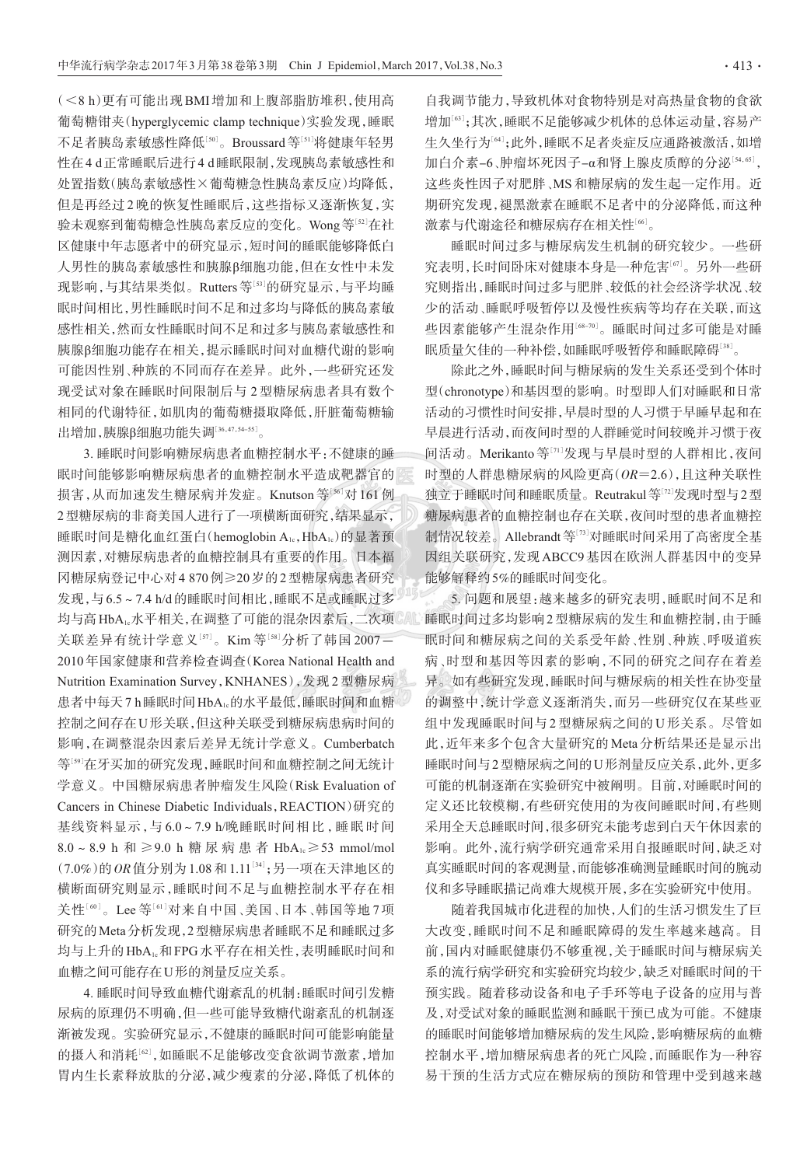(<8 h) 更有可能出现 BMI 增加和上腹部脂肪堆积, 使用高 葡萄糖钳夹(hyperglycemic clamp technique)实验发现,睡眠 不足者胰岛素敏感性降低[50]。Broussard等[51]将健康年轻男 性在4d正常睡眠后进行4d睡眠限制,发现胰岛素敏感性和 处置指数(胰岛素敏感性×葡萄糖急性胰岛素反应)均降低. 但是再经过2晚的恢复性睡眠后,这些指标又逐渐恢复,实 验未观察到葡萄糖急性胰岛素反应的变化。Wong等[52]在社 区健康中年志愿者中的研究显示,短时间的睡眠能够降低白 人男性的胰岛素敏感性和胰腺B细胞功能,但在女性中未发 现影响,与其结果类似。Rutters等[53]的研究显示,与平均睡 眠时间相比,男性睡眠时间不足和过多均与降低的胰岛素敏 感性相关,然而女性睡眠时间不足和过多与胰岛素敏感性和 胰腺β细胞功能存在相关,提示睡眠时间对血糖代谢的影响 可能因性别、种族的不同而存在差异。此外,一些研究还发 现受试对象在睡眠时间限制后与2型糖尿病患者具有数个 相同的代谢特征,如肌肉的葡萄糖摄取降低,肝脏葡萄糖输

出增加,胰腺β细胞功能失调[36,47,54-55]。 3. 睡眠时间影响糖尿病患者血糖控制水平:不健康的睡 眠时间能够影响糖尿病患者的血糖控制水平造成靶器官的 损害,从而加速发生糖尿病并发症。Knutson等[56]对 161例 2型糖尿病的非裔美国人进行了一项横断面研究,结果显示, 睡眠时间是糖化血红蛋白(hemoglobin A1c, HbA1c)的显著预 测因素,对糖尿病患者的血糖控制具有重要的作用。日本福 冈糖尿病登记中心对4 870例≥20岁的2型糖尿病患者研究 发现,与6.5~7.4 h/d的睡眠时间相比,睡眠不足或睡眠过多 均与高HbA1。水平相关,在调整了可能的混杂因素后,二次项 关联差异有统计学意义[57]。Kim 等[58]分析了韩国2007-2010年国家健康和营养检查调查(Korea National Health and Nutrition Examination Survey, KNHANES), 发现2型糖尿病 患者中每天7h睡眠时间HbA1c的水平最低,睡眠时间和血糖 控制之间存在U形关联,但这种关联受到糖尿病患病时间的 影响.在调整混杂因素后差异无统计学意义。Cumberbatch 等[50]在牙买加的研究发现,睡眠时间和血糖控制之间无统计 学意义。中国糖尿病患者肿瘤发生风险(Risk Evaluation of Cancers in Chinese Diabetic Individuals, REACTION)研究的 基线资料显示,与6.0~7.9 h/晚睡眠时间相比,睡眠时间 8.0 ~ 8.9 h 和 ≥ 9.0 h 糖尿病患者 HbA<sub>1</sub> ≥ 53 mmol/mol (7.0%)的OR值分别为1.08和1.11[34];另一项在天津地区的 横断面研究则显示,睡眠时间不足与血糖控制水平存在相 关性[60]。Lee 等[61]对来自中国、美国、日本、韩国等地7项 研究的Meta分析发现,2型糖尿病患者睡眠不足和睡眠过多 均与上升的HbA1c和FPG水平存在相关性,表明睡眠时间和 血糖之间可能存在U形的剂量反应关系。

4. 睡眠时间导致血糖代谢紊乱的机制:睡眠时间引发糖 尿病的原理仍不明确,但一些可能导致糖代谢紊乱的机制逐 渐被发现。实验研究显示,不健康的睡眠时间可能影响能量 的摄入和消耗[62],如睡眠不足能够改变食欲调节激素,增加 胃内生长素释放肽的分泌,减少瘦素的分泌,降低了机体的

自我调节能力,导致机体对食物特别是对高热量食物的食欲 增加[63];其次,睡眠不足能够减少机体的总体运动量,容易产 生久坐行为[64];此外,睡眠不足者炎症反应通路被激活,如增 加白介素-6、肿瘤坏死因子-α和肾上腺皮质醇的分泌[54,65], 这些炎性因子对肥胖、MS和糖尿病的发生起一定作用。近 期研究发现,褪黑激素在睡眠不足者中的分泌降低,而这种 激素与代谢途径和糖尿病存在相关性[66]。

睡眠时间过多与糖尿病发生机制的研究较少。一些研 究表明,长时间卧床对健康本身是一种危害[67]。另外一些研 究则指出,睡眠时间过多与肥胖、较低的社会经济学状况、较 少的活动、睡眠呼吸暂停以及慢性疾病等均存在关联,而这 些因素能够产生混杂作用[68-70]。睡眠时间过多可能是对睡 眠质量欠佳的一种补偿,如睡眠呼吸暂停和睡眠障碍[38]。

除此之外,睡眠时间与糖尿病的发生关系还受到个体时 型(chronotype)和基因型的影响。时型即人们对睡眠和日常 活动的习惯性时间安排,早晨时型的人习惯于早睡早起和在 早晨进行活动,而夜间时型的人群睡觉时间较晚并习惯于夜 间活动。Merikanto 等[71]发现与早晨时型的人群相比, 夜间 时型的人群患糖尿病的风险更高(OR=2.6),且这种关联性 独立于睡眠时间和睡眠质量。Reutrakul等[72]发现时型与2型 糖尿病患者的血糖控制也存在关联,夜间时型的患者血糖控 制情况较差。Allebrandt等[73]对睡眠时间采用了高密度全基 因组关联研究,发现ABCC9基因在欧洲人群基因中的变异 能够解释约5%的睡眠时间变化。

5. 问题和展望: 越来越多的研究表明, 睡眠时间不足和 《《睡眠时间过多均影响2型糖尿病的发生和血糖控制,由于睡 眠时间和糖尿病之间的关系受年龄、性别、种族、呼吸道疾 病、时型和基因等因素的影响,不同的研究之间存在着差 异。如有些研究发现,睡眠时间与糖尿病的相关性在协变量 的调整中,统计学意义逐渐消失,而另一些研究仅在某些亚 组中发现睡眠时间与2型糖尿病之间的U形关系。尽管如 此,近年来多个包含大量研究的Meta分析结果还是显示出 睡眠时间与2型糖尿病之间的U形剂量反应关系,此外,更多 可能的机制逐渐在实验研究中被阐明。目前,对睡眠时间的 定义还比较模糊,有些研究使用的为夜间睡眠时间,有些则 采用全天总睡眠时间,很多研究未能考虑到白天午休因素的 影响。此外,流行病学研究通常采用自报睡眠时间,缺乏对 真实睡眠时间的客观测量,而能够准确测量睡眠时间的腕动 仪和多导睡眠描记尚难大规模开展,多在实验研究中使用。

随着我国城市化进程的加快,人们的生活习惯发生了巨 大改变,睡眠时间不足和睡眠障碍的发生率越来越高。目 前,国内对睡眠健康仍不够重视,关于睡眠时间与糖尿病关 系的流行病学研究和实验研究均较少,缺乏对睡眠时间的干 预实践。随着移动设备和电子手环等电子设备的应用与普 及,对受试对象的睡眠监测和睡眠干预已成为可能。不健康 的睡眠时间能够增加糖尿病的发生风险,影响糖尿病的血糖 控制水平,增加糖尿病患者的死亡风险,而睡眠作为一种容 易干预的生活方式应在糖尿病的预防和管理中受到越来越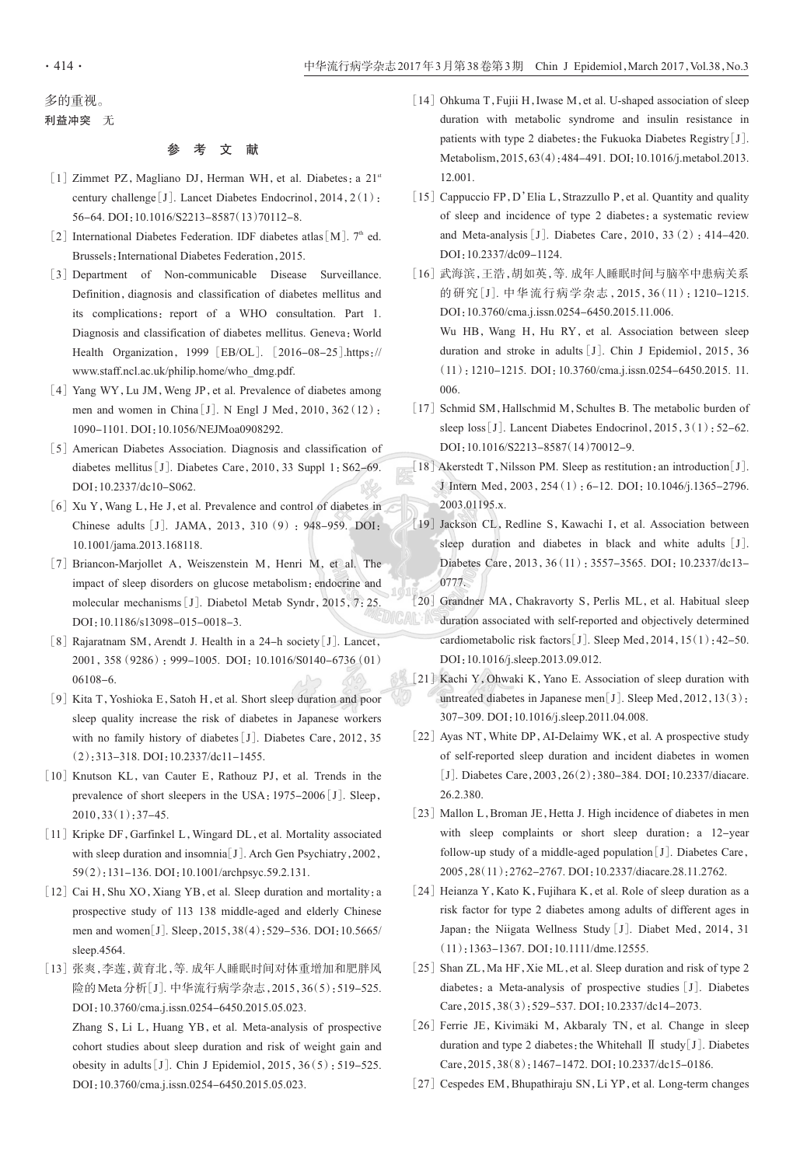006

### 多的重视。

利益冲突 无

### 参考文献

- [1] Zimmet PZ, Magliano DJ, Herman WH, et al. Diabetes: a 21<sup>st</sup> century challenge [J]. Lancet Diabetes Endocrinol, 2014, 2(1): 56-64. DOI:10.1016/S2213-8587(13)70112-8.
- [2] International Diabetes Federation. IDF diabetes atlas  $[M]$ . 7<sup>th</sup> ed. Brussels: International Diabetes Federation, 2015.
- [3] Department of Non-communicable Disease Surveillance. Definition, diagnosis and classification of diabetes mellitus and its complications: report of a WHO consultation. Part 1. Diagnosis and classification of diabetes mellitus. Geneva: World Health Organization, 1999 [EB/OL]. [2016-08-25].https:// www.staff.ncl.ac.uk/philip.home/who dmg.pdf.
- [4] Yang WY, Lu JM, Weng JP, et al. Prevalence of diabetes among men and women in China [J]. N Engl J Med, 2010, 362 (12): 1090-1101. DOI:10.1056/NEJMoa0908292.
- [5] American Diabetes Association. Diagnosis and classification of diabetes mellitus [J]. Diabetes Care, 2010, 33 Suppl 1: S62-69. DOI:10.2337/dc10-S062.
- [6] Xu Y, Wang L, He J, et al. Prevalence and control of diabetes in Chinese adults [J]. JAMA, 2013, 310 (9): 948-959. DOI: 10.1001/jama.2013.168118.
- [7] Briancon-Marjollet A, Weiszenstein M, Henri M, et al. The impact of sleep disorders on glucose metabolism: endocrine and molecular mechanisms [J]. Diabetol Metab Syndr, 2015, 7:25. DOI: 10.1186/s13098-015-0018-3.
- [8] Rajaratnam SM, Arendt J. Health in a 24-h society [J]. Lancet, 2001, 358 (9286): 999-1005. DOI: 10.1016/S0140-6736 (01)  $06108 - 6.$
- [9] Kita T, Yoshioka E, Satoh H, et al. Short sleep duration and poor sleep quality increase the risk of diabetes in Japanese workers with no family history of diabetes [J]. Diabetes Care, 2012, 35  $(2):$  313-318. DOI: 10.2337/dc11-1455.
- [10] Knutson KL, van Cauter E, Rathouz PJ, et al. Trends in the prevalence of short sleepers in the USA: 1975-2006 [J]. Sleep,  $2010, 33(1)$ : 37-45.
- [11] Kripke DF, Garfinkel L, Wingard DL, et al. Mortality associated with sleep duration and insomnia<sup>[J]</sup>. Arch Gen Psychiatry, 2002, 59(2):131-136. DOI:10.1001/archpsyc.59.2.131.
- [12] Cai H, Shu XO, Xiang YB, et al. Sleep duration and mortality: a prospective study of 113 138 middle-aged and elderly Chinese men and women[J]. Sleep, 2015, 38(4): 529-536. DOI: 10.5665/ sleep.4564.
- [13] 张爽,李莲,黄育北,等. 成年人睡眠时间对体重增加和肥胖风 险的 Meta 分析[J]. 中华流行病学杂志, 2015, 36(5): 519-525. DOI:10.3760/cma.j.issn.0254-6450.2015.05.023.

Zhang S, Li L, Huang YB, et al. Meta-analysis of prospective cohort studies about sleep duration and risk of weight gain and obesity in adults [J]. Chin J Epidemiol,  $2015$ ,  $36(5)$ : 519-525. DOI: 10.3760/cma.j.issn.0254-6450.2015.05.023.

- [14] Ohkuma T, Fujii H, Iwase M, et al. U-shaped association of sleep duration with metabolic syndrome and insulin resistance in patients with type 2 diabetes: the Fukuoka Diabetes Registry  $[J]$ . Metabolism, 2015, 63(4): 484-491. DOI: 10.1016/j.metabol.2013. 12.001
- [15] Cappuccio FP, D'Elia L, Strazzullo P, et al. Quantity and quality of sleep and incidence of type 2 diabetes: a systematic review and Meta-analysis [J]. Diabetes Care,  $2010$ ,  $33(2)$ : 414-420. DOI:10.2337/dc09-1124.
- [16] 武海滨,王浩,胡如英,等. 成年人睡眠时间与脑卒中患病关系 的研究[J]. 中华流行病学杂志, 2015, 36(11): 1210-1215. DOI:10.3760/cma.j.issn.0254-6450.2015.11.006. Wu HB, Wang H, Hu RY, et al. Association between sleep duration and stroke in adults [J]. Chin J Epidemiol, 2015, 36  $(11): 1210-1215$ . DOI: 10.3760/cma.j.issn.0254-6450.2015. 11.
- [17] Schmid SM, Hallschmid M, Schultes B. The metabolic burden of sleep loss [J]. Lancent Diabetes Endocrinol,  $2015$ ,  $3(1)$ : 52–62. DOI:10.1016/S2213-8587(14)70012-9.
- [18] Akerstedt T, Nilsson PM. Sleep as restitution: an introduction  $J$ ]. J Intern Med, 2003, 254 (1): 6-12. DOI: 10.1046/j.1365-2796. 2003.01195.x.
- [19] Jackson CL, Redline S, Kawachi I, et al. Association between sleep duration and diabetes in black and white adults [J]. Diabetes Care, 2013, 36(11): 3557-3565. DOI: 10.2337/dc13-0777.
- [20] Grandner MA, Chakravorty S, Perlis ML, et al. Habitual sleep duration associated with self-reported and objectively determined cardiometabolic risk factors [J]. Sleep Med, 2014, 15(1): 42-50. DOI:10.1016/j.sleep.2013.09.012.
- [21] Kachi Y, Ohwaki K, Yano E. Association of sleep duration with untreated diabetes in Japanese men[J]. Sleep Med,  $2012$ ,  $13(3)$ : 307-309. DOI:10.1016/j.sleep.2011.04.008.
- [22] Ayas NT, White DP, AI-Delaimy WK, et al. A prospective study of self-reported sleep duration and incident diabetes in women [J]. Diabetes Care, 2003, 26(2): 380-384. DOI: 10.2337/diacare. 26.2.380.
- [23] Mallon L, Broman JE, Hetta J. High incidence of diabetes in men with sleep complaints or short sleep duration: a 12-year follow-up study of a middle-aged population [J]. Diabetes Care, 2005, 28(11): 2762-2767. DOI: 10.2337/diacare.28.11.2762.
- [24] Heianza Y, Kato K, Fujihara K, et al. Role of sleep duration as a risk factor for type 2 diabetes among adults of different ages in Japan: the Niigata Wellness Study [J]. Diabet Med, 2014, 31  $(11): 1363-1367$ . DOI: 10.1111/dme.12555.
- [25] Shan ZL, Ma HF, Xie ML, et al. Sleep duration and risk of type 2 diabetes: a Meta-analysis of prospective studies [J]. Diabetes Care, 2015, 38(3): 529-537. DOI: 10.2337/dc14-2073.
- [26] Ferrie JE, Kivimäki M, Akbaraly TN, et al. Change in sleep duration and type 2 diabetes: the Whitehall  $\mathbb{I}$  study [J]. Diabetes Care, 2015, 38(8): 1467-1472. DOI: 10.2337/dc15-0186.
- [27] Cespedes EM, Bhupathiraju SN, Li YP, et al. Long-term changes

 $.414.$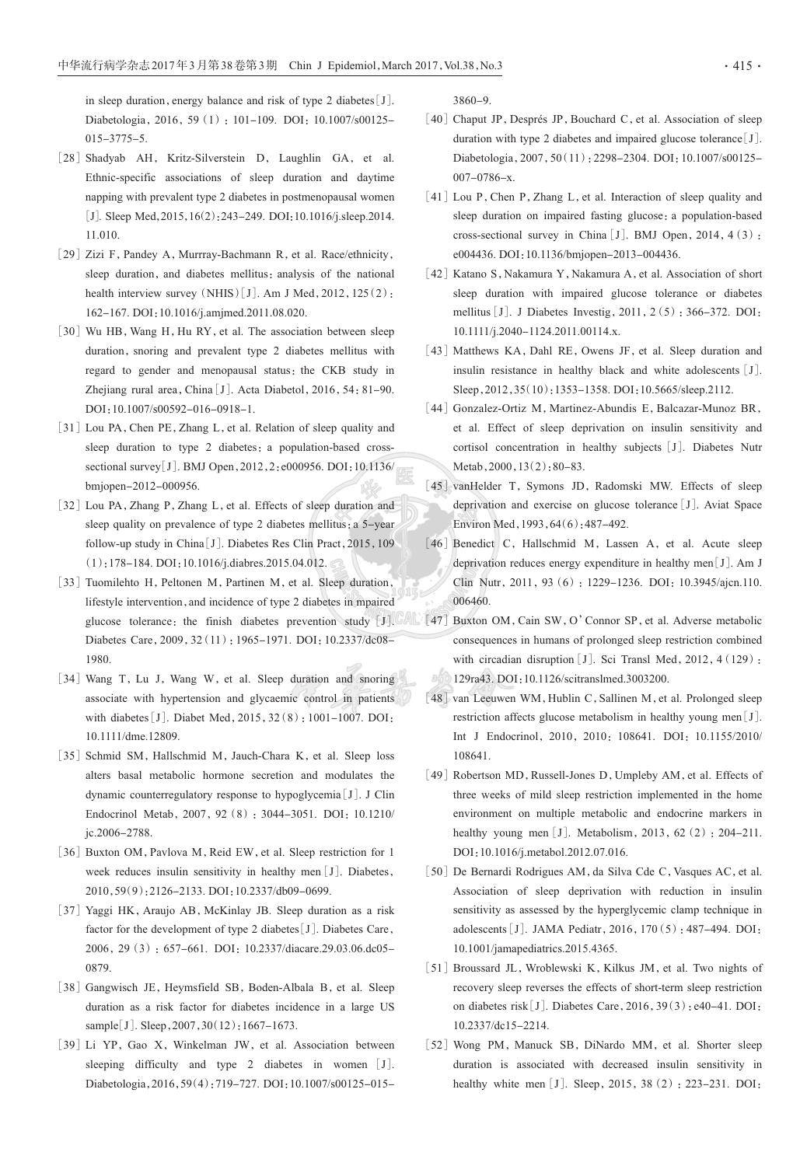in sleep duration, energy balance and risk of type 2 diabetes [J]. Diabetologia, 2016, 59 (1): 101-109, DOI: 10.1007/s00125- $015 - 3775 - 5.$ 

- [28] Shadyab AH, Kritz-Silverstein D, Laughlin GA, et al. Ethnic-specific associations of sleep duration and daytime napping with prevalent type 2 diabetes in postmenopausal women [J]. Sleep Med, 2015, 16(2): 243-249. DOI: 10.1016/j.sleep.2014. 11.010.
- [29] Zizi F, Pandey A, Murrray-Bachmann R, et al. Race/ethnicity, sleep duration, and diabetes mellitus; analysis of the national health interview survey  $(NHIS) [J]$ . Am J Med, 2012, 125(2): 162-167. DOI:10.1016/j.amjmed.2011.08.020.
- [30] Wu HB, Wang H, Hu RY, et al. The association between sleep duration, snoring and prevalent type 2 diabetes mellitus with regard to gender and menopausal status; the CKB study in Zhejiang rural area, China [J]. Acta Diabetol, 2016, 54: 81-90. DOI:10.1007/s00592-016-0918-1.
- [31] Lou PA, Chen PE, Zhang L, et al. Relation of sleep quality and sleep duration to type 2 diabetes: a population-based crosssectional survey[J]. BMJ Open, 2012, 2: e000956. DOI: 10.1136/ bmjopen-2012-000956.
- [32] Lou PA, Zhang P, Zhang L, et al. Effects of sleep duration and sleep quality on prevalence of type 2 diabetes mellitus: a 5-year follow-up study in China [J]. Diabetes Res Clin Pract, 2015, 109 (1):178-184. DOI:10.1016/j.diabres.2015.04.012.
- [33] Tuomilehto H, Peltonen M, Partinen M, et al. Sleep duration, lifestyle intervention, and incidence of type 2 diabetes in mpaired glucose tolerance: the finish diabetes prevention study [J]. Diabetes Care, 2009, 32 (11): 1965-1971. DOI: 10.2337/dc08-1980
- [34] Wang T, Lu J, Wang W, et al. Sleep duration and snoring associate with hypertension and glycaemic control in patients with diabetes [J]. Diabet Med, 2015, 32(8): 1001-1007. DOI: 10.1111/dme.12809.
- [35] Schmid SM, Hallschmid M, Jauch-Chara K, et al. Sleep loss alters basal metabolic hormone secretion and modulates the dynamic counterregulatory response to hypoglycemia [J]. J Clin Endocrinol Metab, 2007, 92 (8): 3044-3051. DOI: 10.1210/ ic.2006-2788.
- [36] Buxton OM, Pavlova M, Reid EW, et al. Sleep restriction for 1 week reduces insulin sensitivity in healthy men [J]. Diabetes, 2010, 59(9): 2126-2133. DOI: 10.2337/db09-0699.
- [37] Yaggi HK, Araujo AB, McKinlay JB. Sleep duration as a risk factor for the development of type 2 diabetes [J]. Diabetes Care, 2006, 29 (3): 657-661. DOI: 10.2337/diacare.29.03.06.dc05-0879
- [38] Gangwisch JE, Heymsfield SB, Boden-Albala B, et al. Sleep duration as a risk factor for diabetes incidence in a large US sample[J]. Sleep, 2007, 30(12): 1667-1673.
- [39] Li YP, Gao X, Winkelman JW, et al. Association between sleeping difficulty and type 2 diabetes in women [J]. Diabetologia, 2016, 59(4): 719-727. DOI: 10.1007/s00125-015-

 $3860 - 9.$ 

- [40] Chaput JP, Després JP, Bouchard C, et al. Association of sleep duration with type 2 diabetes and impaired glucose tolerance  $[J]$ . Diabetologia, 2007, 50(11): 2298-2304. DOI: 10.1007/s00125- $007 - 0786 - x.$
- [41] Lou P, Chen P, Zhang L, et al. Interaction of sleep quality and sleep duration on impaired fasting glucose: a population-based cross-sectional survey in China [J]. BMJ Open, 2014, 4(3): e004436. DOI:10.1136/bmjopen-2013-004436.
- [42] Katano S, Nakamura Y, Nakamura A, et al. Association of short sleep duration with impaired glucose tolerance or diabetes mellitus [J]. J Diabetes Investig, 2011, 2(5): 366-372. DOI: 10.1111/j.2040-1124.2011.00114.x.
- [43] Matthews KA, Dahl RE, Owens JF, et al. Sleep duration and insulin resistance in healthy black and white adolescents [J]. Sleep, 2012, 35(10): 1353-1358. DOI: 10.5665/sleep.2112.
- [44] Gonzalez-Ortiz M, Martinez-Abundis E, Balcazar-Munoz BR, et al. Effect of sleep deprivation on insulin sensitivity and cortisol concentration in healthy subjects [J]. Diabetes Nutr Metab,  $2000$ ,  $13(2)$ :  $80-83$ .
- [45] vanHelder T, Symons JD, Radomski MW. Effects of sleep deprivation and exercise on glucose tolerance [J]. Aviat Space Environ Med, 1993, 64(6): 487-492.
- [46] Benedict C, Hallschmid M, Lassen A, et al. Acute sleep deprivation reduces energy expenditure in healthy men[J]. Am J Clin Nutr, 2011, 93 (6): 1229-1236. DOI: 10.3945/ajcn.110. 006460.
- [47] Buxton OM, Cain SW, O'Connor SP, et al. Adverse metabolic consequences in humans of prolonged sleep restriction combined with circadian disruption [J]. Sci Transl Med, 2012, 4 (129): 129ra43. DOI: 10.1126/scitranslmed.3003200.
	- [48] van Leeuwen WM, Hublin C, Sallinen M, et al. Prolonged sleep restriction affects glucose metabolism in healthy young men[J]. Int J Endocrinol, 2010, 2010: 108641. DOI: 10.1155/2010/ 108641.
	- [49] Robertson MD, Russell-Jones D, Umpleby AM, et al. Effects of three weeks of mild sleep restriction implemented in the home environment on multiple metabolic and endocrine markers in healthy young men [J]. Metabolism,  $2013$ ,  $62$  (2):  $204-211$ . DOI:10.1016/j.metabol.2012.07.016.
	- [50] De Bernardi Rodrigues AM, da Silva Cde C, Vasques AC, et al. Association of sleep deprivation with reduction in insulin sensitivity as assessed by the hyperglycemic clamp technique in adolescents [J]. JAMA Pediatr, 2016, 170(5): 487-494. DOI: 10.1001/jamapediatrics.2015.4365.
	- [51] Broussard JL, Wroblewski K, Kilkus JM, et al. Two nights of recovery sleep reverses the effects of short-term sleep restriction on diabetes risk [J]. Diabetes Care, 2016, 39(3): e40-41. DOI: 10.2337/dc15-2214.
	- [52] Wong PM, Manuck SB, DiNardo MM, et al. Shorter sleep duration is associated with decreased insulin sensitivity in healthy white men [J]. Sleep, 2015, 38 (2): 223-231. DOI: